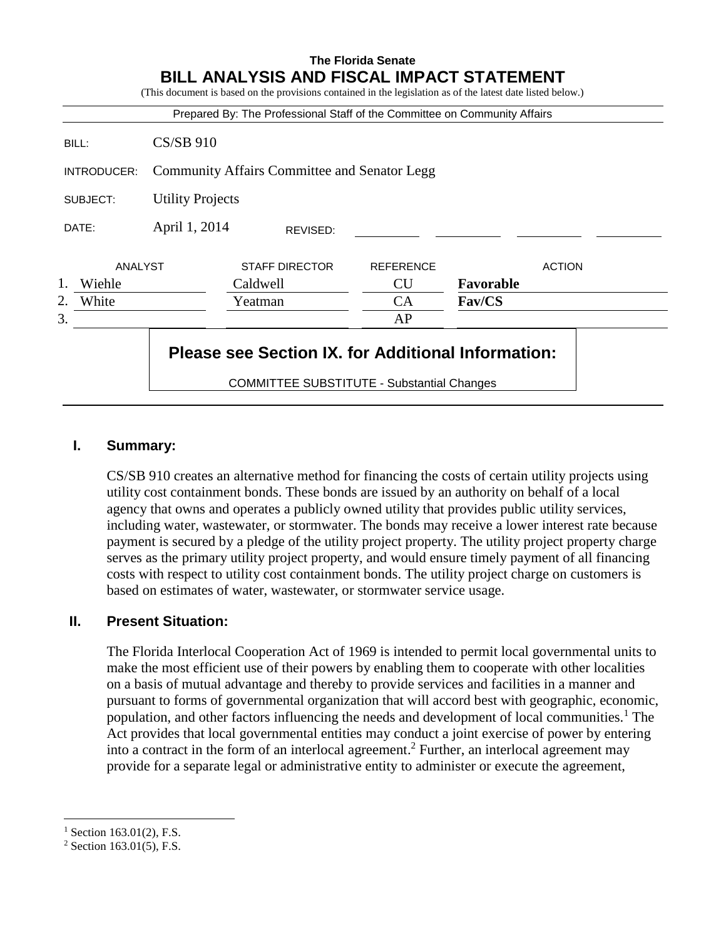|                |                         | Prepared By: The Professional Staff of the Committee on Community Affairs |                  |               |
|----------------|-------------------------|---------------------------------------------------------------------------|------------------|---------------|
| BILL:          | <b>CS/SB 910</b>        |                                                                           |                  |               |
| INTRODUCER:    |                         | <b>Community Affairs Committee and Senator Legg</b>                       |                  |               |
| SUBJECT:       | <b>Utility Projects</b> |                                                                           |                  |               |
| DATE:          | April 1, 2014           | REVISED:                                                                  |                  |               |
| <b>ANALYST</b> |                         | <b>STAFF DIRECTOR</b>                                                     | <b>REFERENCE</b> | <b>ACTION</b> |
| 1.<br>Wiehle   |                         | Caldwell                                                                  | <b>CU</b>        | Favorable     |
| White<br>2.    |                         | Yeatman                                                                   | CA               | Fav/CS        |
|                |                         |                                                                           | AP               |               |

**The Florida Senate**

# **I. Summary:**

CS/SB 910 creates an alternative method for financing the costs of certain utility projects using utility cost containment bonds. These bonds are issued by an authority on behalf of a local agency that owns and operates a publicly owned utility that provides public utility services, including water, wastewater, or stormwater. The bonds may receive a lower interest rate because payment is secured by a pledge of the utility project property. The utility project property charge serves as the primary utility project property, and would ensure timely payment of all financing costs with respect to utility cost containment bonds. The utility project charge on customers is based on estimates of water, wastewater, or stormwater service usage.

# **II. Present Situation:**

The Florida Interlocal Cooperation Act of 1969 is intended to permit local governmental units to make the most efficient use of their powers by enabling them to cooperate with other localities on a basis of mutual advantage and thereby to provide services and facilities in a manner and pursuant to forms of governmental organization that will accord best with geographic, economic, population, and other factors influencing the needs and development of local communities.<sup>1</sup> The Act provides that local governmental entities may conduct a joint exercise of power by entering into a contract in the form of an interlocal agreement.<sup>2</sup> Further, an interlocal agreement may provide for a separate legal or administrative entity to administer or execute the agreement,

 $\overline{a}$ 

 $1$  Section 163.01(2), F.S.

 $2$  Section 163.01(5), F.S.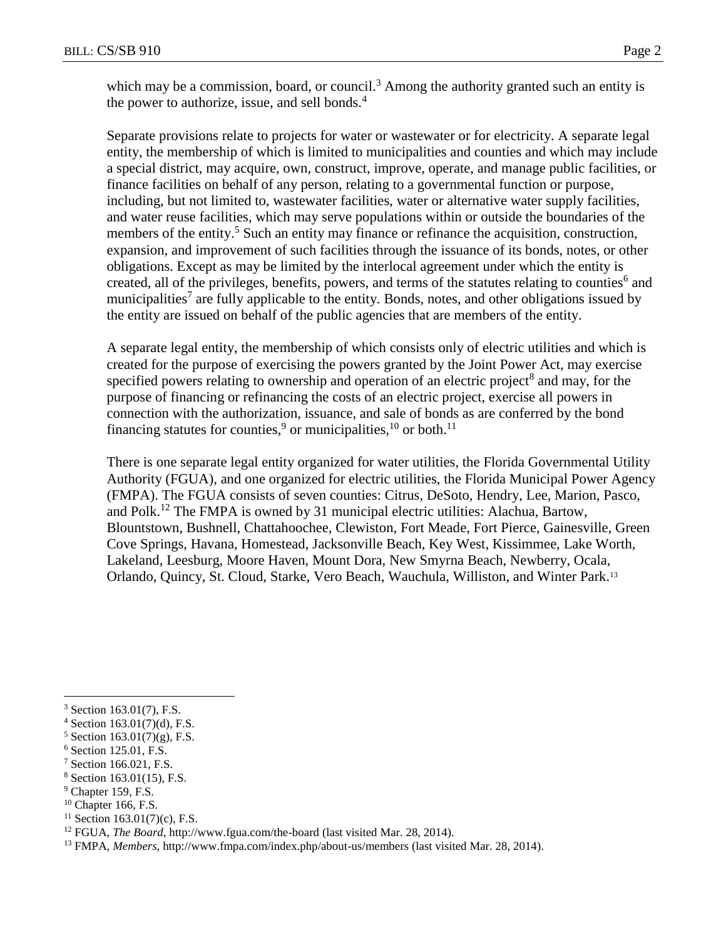which may be a commission, board, or council.<sup>3</sup> Among the authority granted such an entity is the power to authorize, issue, and sell bonds.<sup>4</sup>

Separate provisions relate to projects for water or wastewater or for electricity. A separate legal entity, the membership of which is limited to municipalities and counties and which may include a special district, may acquire, own, construct, improve, operate, and manage public facilities, or finance facilities on behalf of any person, relating to a governmental function or purpose, including, but not limited to, wastewater facilities, water or alternative water supply facilities, and water reuse facilities, which may serve populations within or outside the boundaries of the members of the entity.<sup>5</sup> Such an entity may finance or refinance the acquisition, construction, expansion, and improvement of such facilities through the issuance of its bonds, notes, or other obligations. Except as may be limited by the interlocal agreement under which the entity is created, all of the privileges, benefits, powers, and terms of the statutes relating to counties<sup>6</sup> and municipalities<sup>7</sup> are fully applicable to the entity. Bonds, notes, and other obligations issued by the entity are issued on behalf of the public agencies that are members of the entity.

A separate legal entity, the membership of which consists only of electric utilities and which is created for the purpose of exercising the powers granted by the Joint Power Act, may exercise specified powers relating to ownership and operation of an electric project<sup>8</sup> and may, for the purpose of financing or refinancing the costs of an electric project, exercise all powers in connection with the authorization, issuance, and sale of bonds as are conferred by the bond financing statutes for counties,<sup>9</sup> or municipalities, <sup>10</sup> or both.<sup>11</sup>

There is one separate legal entity organized for water utilities, the Florida Governmental Utility Authority (FGUA), and one organized for electric utilities, the Florida Municipal Power Agency (FMPA). The FGUA consists of seven counties: Citrus, DeSoto, Hendry, Lee, Marion, Pasco, and Polk.<sup>12</sup> The FMPA is owned by 31 municipal electric utilities: Alachua, Bartow, Blountstown, Bushnell, Chattahoochee, Clewiston, Fort Meade, Fort Pierce, Gainesville, Green Cove Springs, Havana, Homestead, Jacksonville Beach, Key West, Kissimmee, Lake Worth, Lakeland, Leesburg, Moore Haven, Mount Dora, New Smyrna Beach, Newberry, Ocala, Orlando, Quincy, St. Cloud, Starke, Vero Beach, Wauchula, Williston, and Winter Park.<sup>13</sup>

 $\overline{a}$ 

<sup>9</sup> Chapter 159, F.S.

<sup>3</sup> Section 163.01(7), F.S.

 $4$  Section 163.01(7)(d), F.S.

 $5$  Section 163.01(7)(g), F.S.

<sup>6</sup> Section 125.01, F.S.

<sup>7</sup> Section 166.021, F.S.

<sup>8</sup> Section 163.01(15), F.S.

 $10$  Chapter 166, F.S.

 $11$  Section 163.01(7)(c), F.S.

<sup>12</sup> FGUA, *The Board*, http://www.fgua.com/the-board (last visited Mar. 28, 2014).

<sup>13</sup> FMPA, *Members*, http://www.fmpa.com/index.php/about-us/members (last visited Mar. 28, 2014).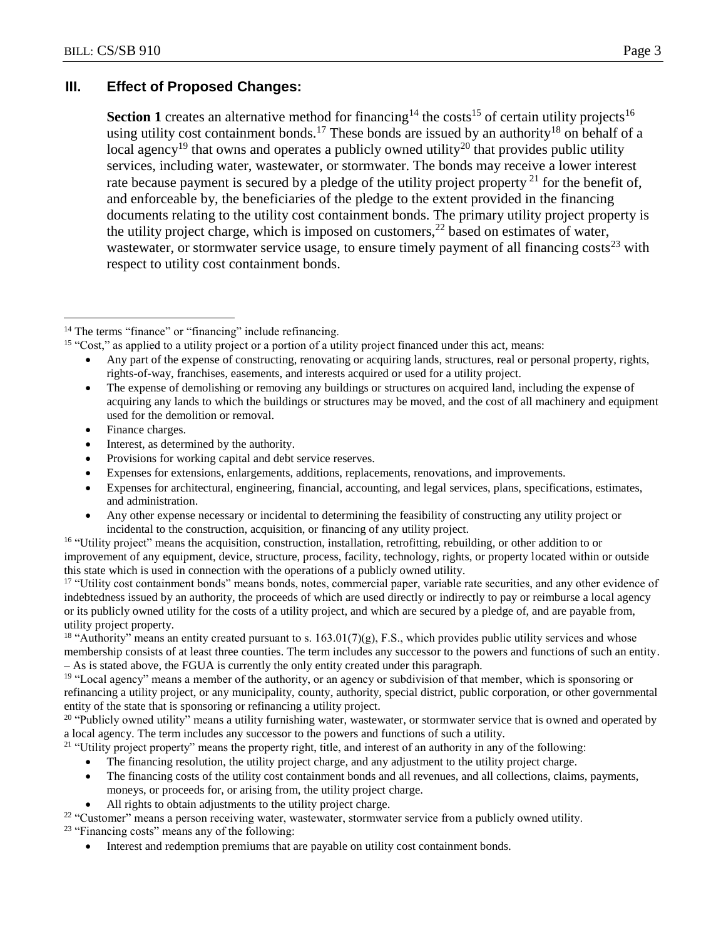# **III. Effect of Proposed Changes:**

**Section 1** creates an alternative method for financing<sup>14</sup> the costs<sup>15</sup> of certain utility projects<sup>16</sup> using utility cost containment bonds.<sup>17</sup> These bonds are issued by an authority<sup>18</sup> on behalf of a local agency<sup>19</sup> that owns and operates a publicly owned utility<sup>20</sup> that provides public utility services, including water, wastewater, or stormwater. The bonds may receive a lower interest rate because payment is secured by a pledge of the utility project property  $2<sup>1</sup>$  for the benefit of, and enforceable by, the beneficiaries of the pledge to the extent provided in the financing documents relating to the utility cost containment bonds. The primary utility project property is the utility project charge, which is imposed on customers,<sup>22</sup> based on estimates of water, wastewater, or stormwater service usage, to ensure timely payment of all financing costs<sup>23</sup> with respect to utility cost containment bonds.

- Interest, as determined by the authority.
- Provisions for working capital and debt service reserves.
- Expenses for extensions, enlargements, additions, replacements, renovations, and improvements.
- Expenses for architectural, engineering, financial, accounting, and legal services, plans, specifications, estimates, and administration.
- Any other expense necessary or incidental to determining the feasibility of constructing any utility project or incidental to the construction, acquisition, or financing of any utility project.

<sup>16</sup> "Utility project" means the acquisition, construction, installation, retrofitting, rebuilding, or other addition to or improvement of any equipment, device, structure, process, facility, technology, rights, or property located within or outside this state which is used in connection with the operations of a publicly owned utility.

<sup>17</sup> "Utility cost containment bonds" means bonds, notes, commercial paper, variable rate securities, and any other evidence of indebtedness issued by an authority, the proceeds of which are used directly or indirectly to pay or reimburse a local agency or its publicly owned utility for the costs of a utility project, and which are secured by a pledge of, and are payable from, utility project property.

<sup>18</sup> "Authority" means an entity created pursuant to s.  $163.01(7)(g)$ , F.S., which provides public utility services and whose membership consists of at least three counties. The term includes any successor to the powers and functions of such an entity. – As is stated above, the FGUA is currently the only entity created under this paragraph.

<sup>19</sup> "Local agency" means a member of the authority, or an agency or subdivision of that member, which is sponsoring or refinancing a utility project, or any municipality, county, authority, special district, public corporation, or other governmental entity of the state that is sponsoring or refinancing a utility project.

<sup>20</sup> "Publicly owned utility" means a utility furnishing water, wastewater, or stormwater service that is owned and operated by a local agency. The term includes any successor to the powers and functions of such a utility.

<sup>21</sup> "Utility project property" means the property right, title, and interest of an authority in any of the following:

- The financing resolution, the utility project charge, and any adjustment to the utility project charge.
- The financing costs of the utility cost containment bonds and all revenues, and all collections, claims, payments, moneys, or proceeds for, or arising from, the utility project charge.
- All rights to obtain adjustments to the utility project charge.

<sup>22</sup> "Customer" means a person receiving water, wastewater, stormwater service from a publicly owned utility. <sup>23</sup> "Financing costs" means any of the following:

Interest and redemption premiums that are payable on utility cost containment bonds.

 $\overline{a}$ <sup>14</sup> The terms "finance" or "financing" include refinancing.

<sup>&</sup>lt;sup>15</sup> "Cost," as applied to a utility project or a portion of a utility project financed under this act, means:

Any part of the expense of constructing, renovating or acquiring lands, structures, real or personal property, rights, rights-of-way, franchises, easements, and interests acquired or used for a utility project.

The expense of demolishing or removing any buildings or structures on acquired land, including the expense of acquiring any lands to which the buildings or structures may be moved, and the cost of all machinery and equipment used for the demolition or removal.

Finance charges.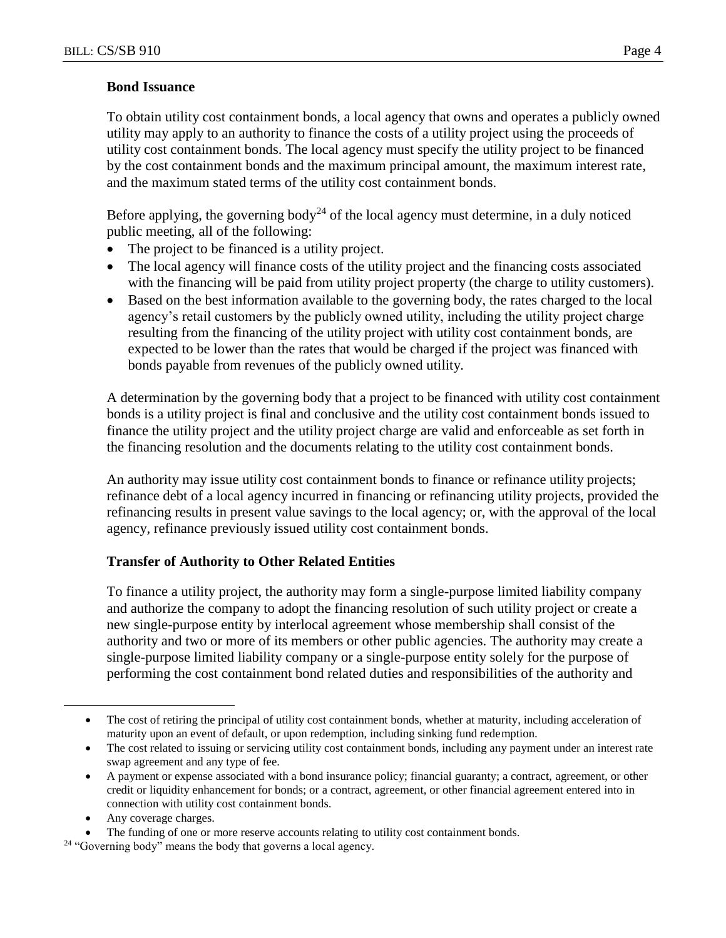#### **Bond Issuance**

To obtain utility cost containment bonds, a local agency that owns and operates a publicly owned utility may apply to an authority to finance the costs of a utility project using the proceeds of utility cost containment bonds. The local agency must specify the utility project to be financed by the cost containment bonds and the maximum principal amount, the maximum interest rate, and the maximum stated terms of the utility cost containment bonds.

Before applying, the governing body<sup>24</sup> of the local agency must determine, in a duly noticed public meeting, all of the following:

- The project to be financed is a utility project.
- The local agency will finance costs of the utility project and the financing costs associated with the financing will be paid from utility project property (the charge to utility customers).
- Based on the best information available to the governing body, the rates charged to the local agency's retail customers by the publicly owned utility, including the utility project charge resulting from the financing of the utility project with utility cost containment bonds, are expected to be lower than the rates that would be charged if the project was financed with bonds payable from revenues of the publicly owned utility.

A determination by the governing body that a project to be financed with utility cost containment bonds is a utility project is final and conclusive and the utility cost containment bonds issued to finance the utility project and the utility project charge are valid and enforceable as set forth in the financing resolution and the documents relating to the utility cost containment bonds.

An authority may issue utility cost containment bonds to finance or refinance utility projects; refinance debt of a local agency incurred in financing or refinancing utility projects, provided the refinancing results in present value savings to the local agency; or, with the approval of the local agency, refinance previously issued utility cost containment bonds.

# **Transfer of Authority to Other Related Entities**

To finance a utility project, the authority may form a single-purpose limited liability company and authorize the company to adopt the financing resolution of such utility project or create a new single-purpose entity by interlocal agreement whose membership shall consist of the authority and two or more of its members or other public agencies. The authority may create a single-purpose limited liability company or a single-purpose entity solely for the purpose of performing the cost containment bond related duties and responsibilities of the authority and

Any coverage charges.

 $\overline{a}$ 

The cost of retiring the principal of utility cost containment bonds, whether at maturity, including acceleration of maturity upon an event of default, or upon redemption, including sinking fund redemption.

The cost related to issuing or servicing utility cost containment bonds, including any payment under an interest rate swap agreement and any type of fee.

A payment or expense associated with a bond insurance policy; financial guaranty; a contract, agreement, or other credit or liquidity enhancement for bonds; or a contract, agreement, or other financial agreement entered into in connection with utility cost containment bonds.

The funding of one or more reserve accounts relating to utility cost containment bonds.

<sup>&</sup>lt;sup>24</sup> "Governing body" means the body that governs a local agency.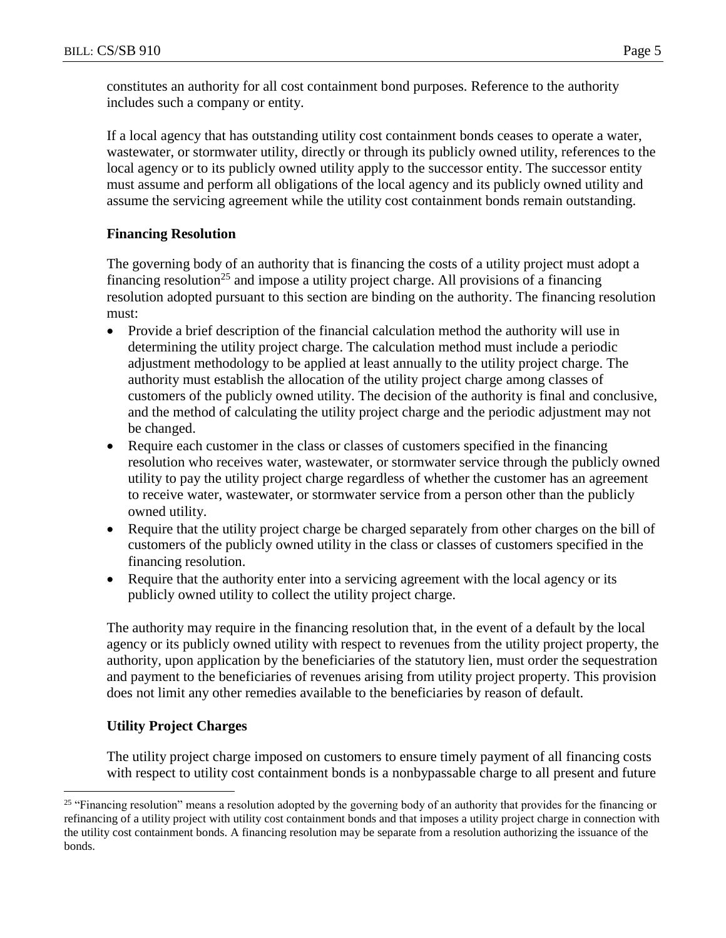constitutes an authority for all cost containment bond purposes. Reference to the authority includes such a company or entity.

If a local agency that has outstanding utility cost containment bonds ceases to operate a water, wastewater, or stormwater utility, directly or through its publicly owned utility, references to the local agency or to its publicly owned utility apply to the successor entity. The successor entity must assume and perform all obligations of the local agency and its publicly owned utility and assume the servicing agreement while the utility cost containment bonds remain outstanding.

# **Financing Resolution**

The governing body of an authority that is financing the costs of a utility project must adopt a financing resolution<sup>25</sup> and impose a utility project charge. All provisions of a financing resolution adopted pursuant to this section are binding on the authority. The financing resolution must:

- Provide a brief description of the financial calculation method the authority will use in determining the utility project charge. The calculation method must include a periodic adjustment methodology to be applied at least annually to the utility project charge. The authority must establish the allocation of the utility project charge among classes of customers of the publicly owned utility. The decision of the authority is final and conclusive, and the method of calculating the utility project charge and the periodic adjustment may not be changed.
- Require each customer in the class or classes of customers specified in the financing resolution who receives water, wastewater, or stormwater service through the publicly owned utility to pay the utility project charge regardless of whether the customer has an agreement to receive water, wastewater, or stormwater service from a person other than the publicly owned utility.
- Require that the utility project charge be charged separately from other charges on the bill of customers of the publicly owned utility in the class or classes of customers specified in the financing resolution.
- Require that the authority enter into a servicing agreement with the local agency or its publicly owned utility to collect the utility project charge.

The authority may require in the financing resolution that, in the event of a default by the local agency or its publicly owned utility with respect to revenues from the utility project property, the authority, upon application by the beneficiaries of the statutory lien, must order the sequestration and payment to the beneficiaries of revenues arising from utility project property. This provision does not limit any other remedies available to the beneficiaries by reason of default.

# **Utility Project Charges**

 $\overline{a}$ 

The utility project charge imposed on customers to ensure timely payment of all financing costs with respect to utility cost containment bonds is a nonbypassable charge to all present and future

<sup>&</sup>lt;sup>25</sup> "Financing resolution" means a resolution adopted by the governing body of an authority that provides for the financing or refinancing of a utility project with utility cost containment bonds and that imposes a utility project charge in connection with the utility cost containment bonds. A financing resolution may be separate from a resolution authorizing the issuance of the bonds.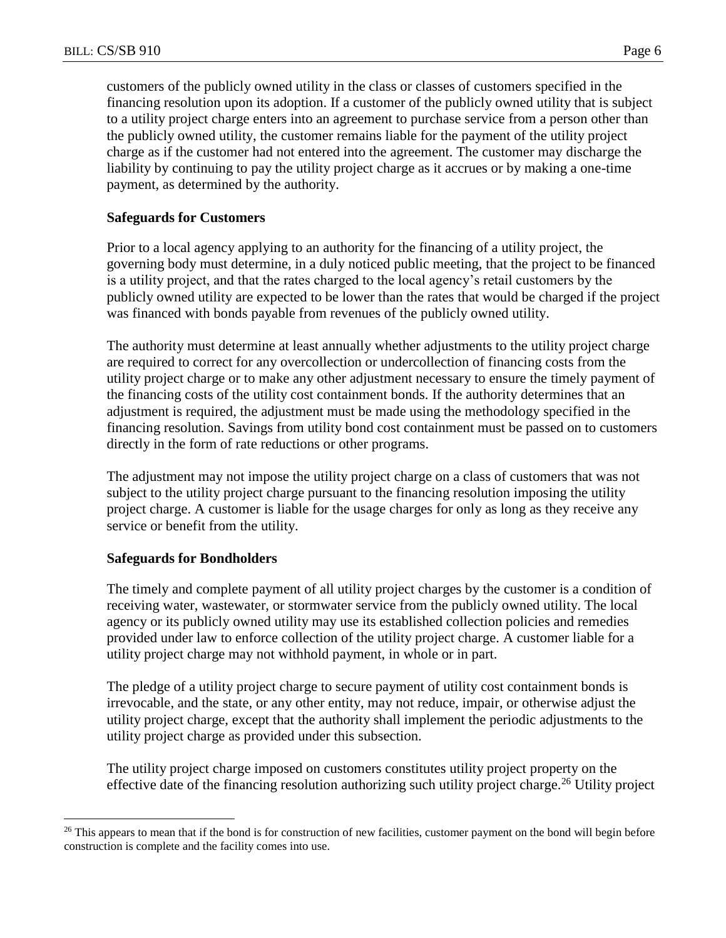customers of the publicly owned utility in the class or classes of customers specified in the financing resolution upon its adoption. If a customer of the publicly owned utility that is subject to a utility project charge enters into an agreement to purchase service from a person other than the publicly owned utility, the customer remains liable for the payment of the utility project charge as if the customer had not entered into the agreement. The customer may discharge the liability by continuing to pay the utility project charge as it accrues or by making a one-time payment, as determined by the authority.

#### **Safeguards for Customers**

Prior to a local agency applying to an authority for the financing of a utility project, the governing body must determine, in a duly noticed public meeting, that the project to be financed is a utility project, and that the rates charged to the local agency's retail customers by the publicly owned utility are expected to be lower than the rates that would be charged if the project was financed with bonds payable from revenues of the publicly owned utility.

The authority must determine at least annually whether adjustments to the utility project charge are required to correct for any overcollection or undercollection of financing costs from the utility project charge or to make any other adjustment necessary to ensure the timely payment of the financing costs of the utility cost containment bonds. If the authority determines that an adjustment is required, the adjustment must be made using the methodology specified in the financing resolution. Savings from utility bond cost containment must be passed on to customers directly in the form of rate reductions or other programs.

The adjustment may not impose the utility project charge on a class of customers that was not subject to the utility project charge pursuant to the financing resolution imposing the utility project charge. A customer is liable for the usage charges for only as long as they receive any service or benefit from the utility.

#### **Safeguards for Bondholders**

 $\overline{a}$ 

The timely and complete payment of all utility project charges by the customer is a condition of receiving water, wastewater, or stormwater service from the publicly owned utility. The local agency or its publicly owned utility may use its established collection policies and remedies provided under law to enforce collection of the utility project charge. A customer liable for a utility project charge may not withhold payment, in whole or in part.

The pledge of a utility project charge to secure payment of utility cost containment bonds is irrevocable, and the state, or any other entity, may not reduce, impair, or otherwise adjust the utility project charge, except that the authority shall implement the periodic adjustments to the utility project charge as provided under this subsection.

The utility project charge imposed on customers constitutes utility project property on the effective date of the financing resolution authorizing such utility project charge.<sup>26</sup> Utility project

<sup>&</sup>lt;sup>26</sup> This appears to mean that if the bond is for construction of new facilities, customer payment on the bond will begin before construction is complete and the facility comes into use.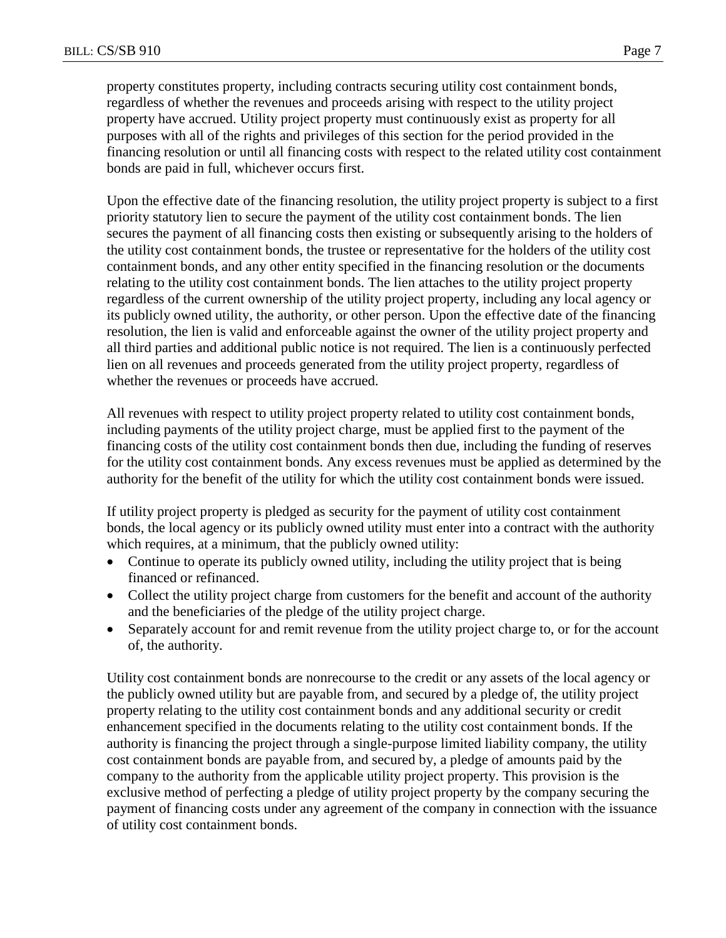property constitutes property, including contracts securing utility cost containment bonds, regardless of whether the revenues and proceeds arising with respect to the utility project property have accrued. Utility project property must continuously exist as property for all purposes with all of the rights and privileges of this section for the period provided in the financing resolution or until all financing costs with respect to the related utility cost containment bonds are paid in full, whichever occurs first.

Upon the effective date of the financing resolution, the utility project property is subject to a first priority statutory lien to secure the payment of the utility cost containment bonds. The lien secures the payment of all financing costs then existing or subsequently arising to the holders of the utility cost containment bonds, the trustee or representative for the holders of the utility cost containment bonds, and any other entity specified in the financing resolution or the documents relating to the utility cost containment bonds. The lien attaches to the utility project property regardless of the current ownership of the utility project property, including any local agency or its publicly owned utility, the authority, or other person. Upon the effective date of the financing resolution, the lien is valid and enforceable against the owner of the utility project property and all third parties and additional public notice is not required. The lien is a continuously perfected lien on all revenues and proceeds generated from the utility project property, regardless of whether the revenues or proceeds have accrued.

All revenues with respect to utility project property related to utility cost containment bonds, including payments of the utility project charge, must be applied first to the payment of the financing costs of the utility cost containment bonds then due, including the funding of reserves for the utility cost containment bonds. Any excess revenues must be applied as determined by the authority for the benefit of the utility for which the utility cost containment bonds were issued.

If utility project property is pledged as security for the payment of utility cost containment bonds, the local agency or its publicly owned utility must enter into a contract with the authority which requires, at a minimum, that the publicly owned utility:

- Continue to operate its publicly owned utility, including the utility project that is being financed or refinanced.
- Collect the utility project charge from customers for the benefit and account of the authority and the beneficiaries of the pledge of the utility project charge.
- Separately account for and remit revenue from the utility project charge to, or for the account of, the authority.

Utility cost containment bonds are nonrecourse to the credit or any assets of the local agency or the publicly owned utility but are payable from, and secured by a pledge of, the utility project property relating to the utility cost containment bonds and any additional security or credit enhancement specified in the documents relating to the utility cost containment bonds. If the authority is financing the project through a single-purpose limited liability company, the utility cost containment bonds are payable from, and secured by, a pledge of amounts paid by the company to the authority from the applicable utility project property. This provision is the exclusive method of perfecting a pledge of utility project property by the company securing the payment of financing costs under any agreement of the company in connection with the issuance of utility cost containment bonds.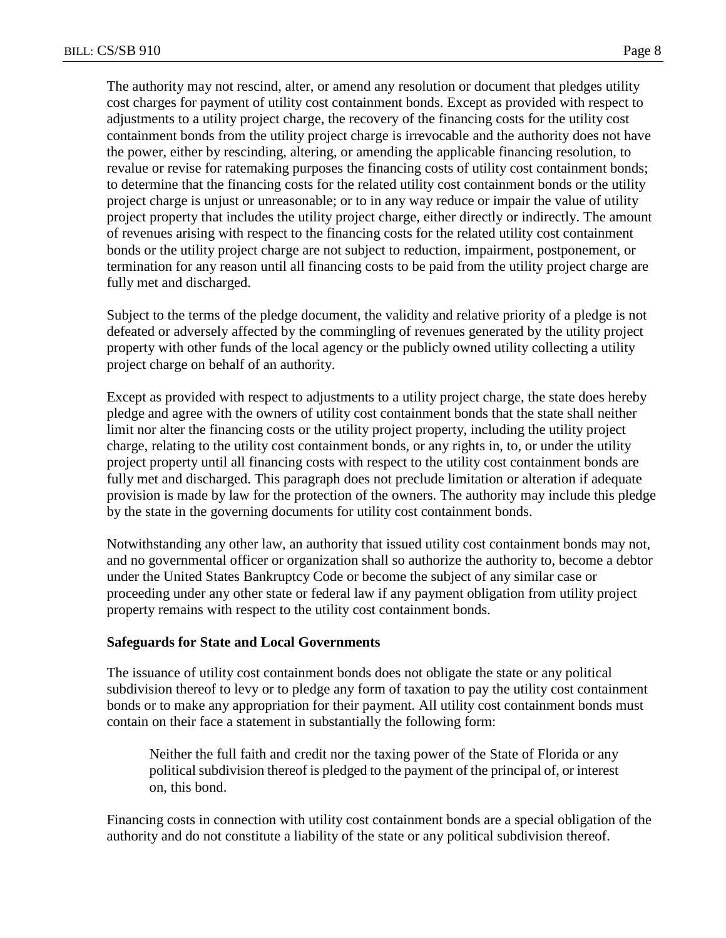The authority may not rescind, alter, or amend any resolution or document that pledges utility cost charges for payment of utility cost containment bonds. Except as provided with respect to adjustments to a utility project charge, the recovery of the financing costs for the utility cost containment bonds from the utility project charge is irrevocable and the authority does not have the power, either by rescinding, altering, or amending the applicable financing resolution, to revalue or revise for ratemaking purposes the financing costs of utility cost containment bonds; to determine that the financing costs for the related utility cost containment bonds or the utility project charge is unjust or unreasonable; or to in any way reduce or impair the value of utility project property that includes the utility project charge, either directly or indirectly. The amount of revenues arising with respect to the financing costs for the related utility cost containment bonds or the utility project charge are not subject to reduction, impairment, postponement, or termination for any reason until all financing costs to be paid from the utility project charge are fully met and discharged.

Subject to the terms of the pledge document, the validity and relative priority of a pledge is not defeated or adversely affected by the commingling of revenues generated by the utility project property with other funds of the local agency or the publicly owned utility collecting a utility project charge on behalf of an authority.

Except as provided with respect to adjustments to a utility project charge, the state does hereby pledge and agree with the owners of utility cost containment bonds that the state shall neither limit nor alter the financing costs or the utility project property, including the utility project charge, relating to the utility cost containment bonds, or any rights in, to, or under the utility project property until all financing costs with respect to the utility cost containment bonds are fully met and discharged. This paragraph does not preclude limitation or alteration if adequate provision is made by law for the protection of the owners. The authority may include this pledge by the state in the governing documents for utility cost containment bonds.

Notwithstanding any other law, an authority that issued utility cost containment bonds may not, and no governmental officer or organization shall so authorize the authority to, become a debtor under the United States Bankruptcy Code or become the subject of any similar case or proceeding under any other state or federal law if any payment obligation from utility project property remains with respect to the utility cost containment bonds.

#### **Safeguards for State and Local Governments**

The issuance of utility cost containment bonds does not obligate the state or any political subdivision thereof to levy or to pledge any form of taxation to pay the utility cost containment bonds or to make any appropriation for their payment. All utility cost containment bonds must contain on their face a statement in substantially the following form:

Neither the full faith and credit nor the taxing power of the State of Florida or any political subdivision thereof is pledged to the payment of the principal of, or interest on, this bond.

Financing costs in connection with utility cost containment bonds are a special obligation of the authority and do not constitute a liability of the state or any political subdivision thereof.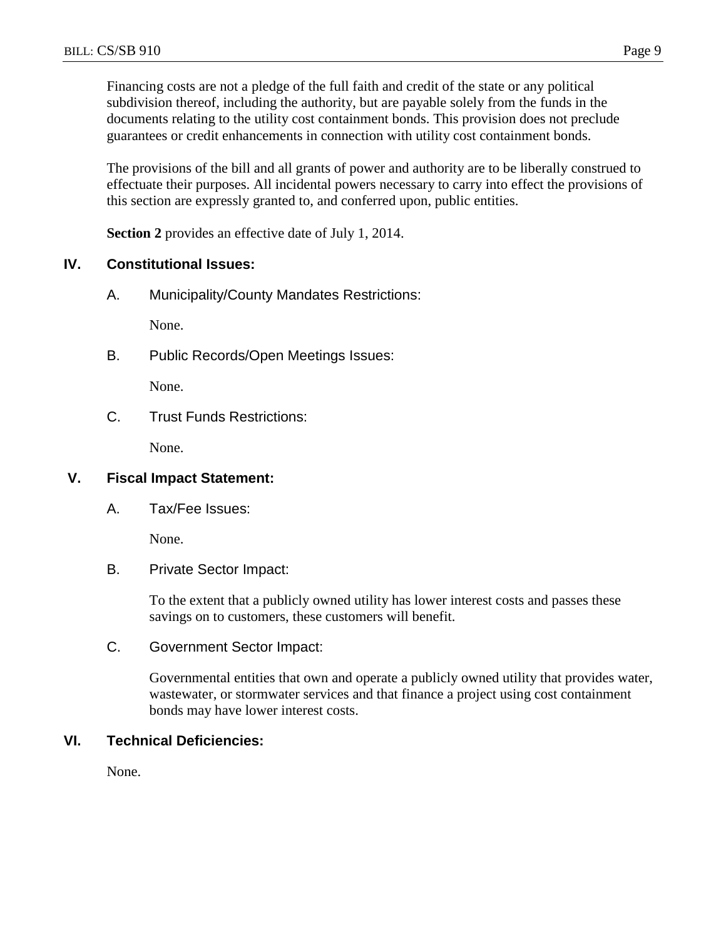Financing costs are not a pledge of the full faith and credit of the state or any political subdivision thereof, including the authority, but are payable solely from the funds in the documents relating to the utility cost containment bonds. This provision does not preclude guarantees or credit enhancements in connection with utility cost containment bonds.

The provisions of the bill and all grants of power and authority are to be liberally construed to effectuate their purposes. All incidental powers necessary to carry into effect the provisions of this section are expressly granted to, and conferred upon, public entities.

**Section 2** provides an effective date of July 1, 2014.

#### **IV. Constitutional Issues:**

A. Municipality/County Mandates Restrictions:

None.

B. Public Records/Open Meetings Issues:

None.

C. Trust Funds Restrictions:

None.

# **V. Fiscal Impact Statement:**

A. Tax/Fee Issues:

None.

B. Private Sector Impact:

To the extent that a publicly owned utility has lower interest costs and passes these savings on to customers, these customers will benefit.

C. Government Sector Impact:

Governmental entities that own and operate a publicly owned utility that provides water, wastewater, or stormwater services and that finance a project using cost containment bonds may have lower interest costs.

# **VI. Technical Deficiencies:**

None.